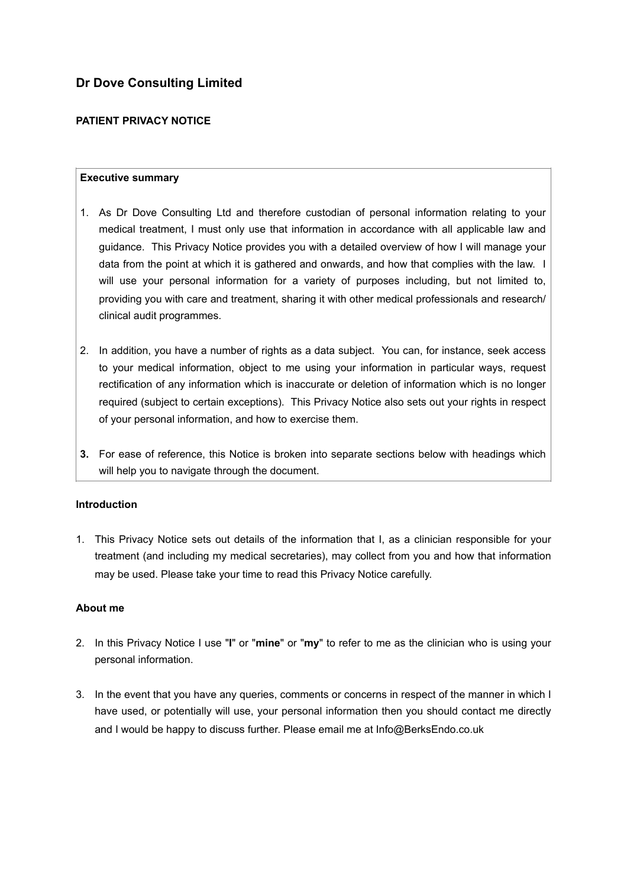# **Dr Dove Consulting Limited**

# **PATIENT PRIVACY NOTICE**

#### **Executive summary**

- 1. As Dr Dove Consulting Ltd and therefore custodian of personal information relating to your medical treatment, I must only use that information in accordance with all applicable law and guidance. This Privacy Notice provides you with a detailed overview of how I will manage your data from the point at which it is gathered and onwards, and how that complies with the law. I will use your personal information for a variety of purposes including, but not limited to, providing you with care and treatment, sharing it with other medical professionals and research/ clinical audit programmes.
- 2. In addition, you have a number of rights as a data subject. You can, for instance, seek access to your medical information, object to me using your information in particular ways, request rectification of any information which is inaccurate or deletion of information which is no longer required (subject to certain exceptions). This Privacy Notice also sets out your rights in respect of your personal information, and how to exercise them.
- **3.** For ease of reference, this Notice is broken into separate sections below with headings which will help you to navigate through the document.

#### **Introduction**

1. This Privacy Notice sets out details of the information that I, as a clinician responsible for your treatment (and including my medical secretaries), may collect from you and how that information may be used. Please take your time to read this Privacy Notice carefully.

#### **About me**

- 2. In this Privacy Notice I use "**I**" or "**mine**" or "**my**" to refer to me as the clinician who is using your personal information.
- 3. In the event that you have any queries, comments or concerns in respect of the manner in which I have used, or potentially will use, your personal information then you should contact me directly and I would be happy to discuss further. Please email me at Info@BerksEndo.co.uk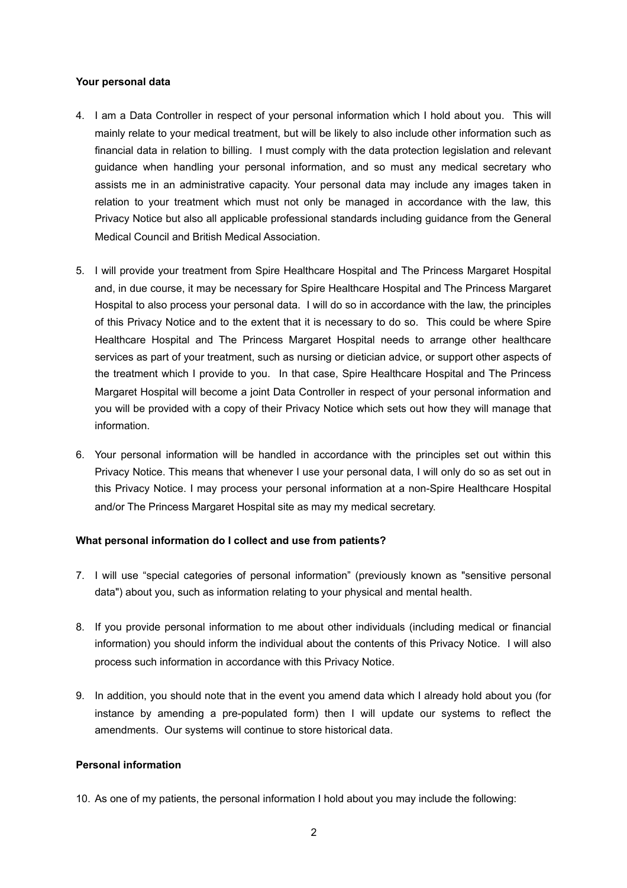#### **Your personal data**

- 4. I am a Data Controller in respect of your personal information which I hold about you. This will mainly relate to your medical treatment, but will be likely to also include other information such as financial data in relation to billing. I must comply with the data protection legislation and relevant guidance when handling your personal information, and so must any medical secretary who assists me in an administrative capacity. Your personal data may include any images taken in relation to your treatment which must not only be managed in accordance with the law, this Privacy Notice but also all applicable professional standards including guidance from the General Medical Council and British Medical Association.
- 5. I will provide your treatment from Spire Healthcare Hospital and The Princess Margaret Hospital and, in due course, it may be necessary for Spire Healthcare Hospital and The Princess Margaret Hospital to also process your personal data. I will do so in accordance with the law, the principles of this Privacy Notice and to the extent that it is necessary to do so. This could be where Spire Healthcare Hospital and The Princess Margaret Hospital needs to arrange other healthcare services as part of your treatment, such as nursing or dietician advice, or support other aspects of the treatment which I provide to you. In that case, Spire Healthcare Hospital and The Princess Margaret Hospital will become a joint Data Controller in respect of your personal information and you will be provided with a copy of their Privacy Notice which sets out how they will manage that information.
- 6. Your personal information will be handled in accordance with the principles set out within this Privacy Notice. This means that whenever I use your personal data, I will only do so as set out in this Privacy Notice. I may process your personal information at a non-Spire Healthcare Hospital and/or The Princess Margaret Hospital site as may my medical secretary.

#### **What personal information do I collect and use from patients?**

- 7. I will use "special categories of personal information" (previously known as "sensitive personal data") about you, such as information relating to your physical and mental health.
- 8. If you provide personal information to me about other individuals (including medical or financial information) you should inform the individual about the contents of this Privacy Notice. I will also process such information in accordance with this Privacy Notice.
- 9. In addition, you should note that in the event you amend data which I already hold about you (for instance by amending a pre-populated form) then I will update our systems to reflect the amendments. Our systems will continue to store historical data.

# **Personal information**

10. As one of my patients, the personal information I hold about you may include the following: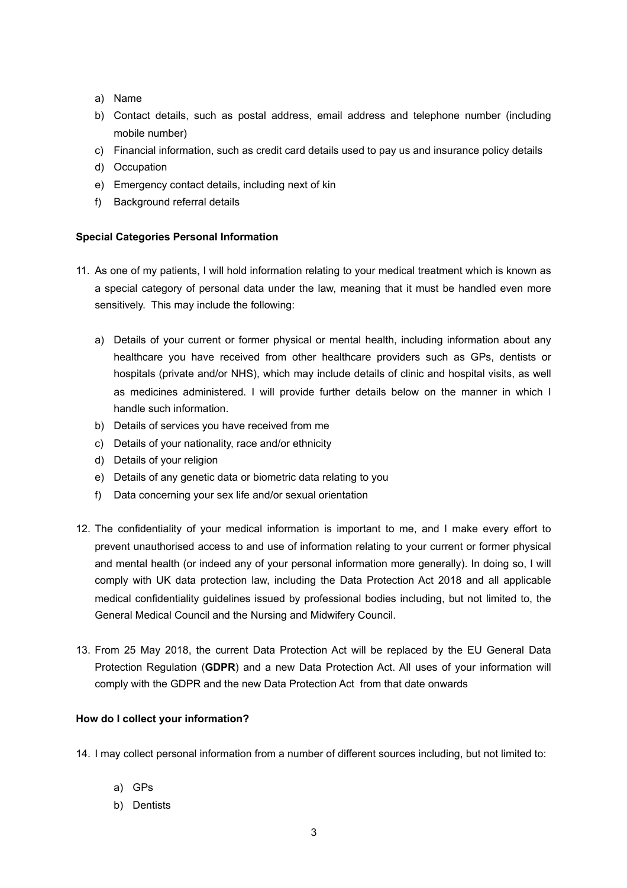- a) Name
- b) Contact details, such as postal address, email address and telephone number (including mobile number)
- c) Financial information, such as credit card details used to pay us and insurance policy details
- d) Occupation
- e) Emergency contact details, including next of kin
- f) Background referral details

#### **Special Categories Personal Information**

- 11. As one of my patients, I will hold information relating to your medical treatment which is known as a special category of personal data under the law, meaning that it must be handled even more sensitively. This may include the following:
	- a) Details of your current or former physical or mental health, including information about any healthcare you have received from other healthcare providers such as GPs, dentists or hospitals (private and/or NHS), which may include details of clinic and hospital visits, as well as medicines administered. I will provide further details below on the manner in which I handle such information.
	- b) Details of services you have received from me
	- c) Details of your nationality, race and/or ethnicity
	- d) Details of your religion
	- e) Details of any genetic data or biometric data relating to you
	- f) Data concerning your sex life and/or sexual orientation
- 12. The confidentiality of your medical information is important to me, and I make every effort to prevent unauthorised access to and use of information relating to your current or former physical and mental health (or indeed any of your personal information more generally). In doing so, I will comply with UK data protection law, including the Data Protection Act 2018 and all applicable medical confidentiality guidelines issued by professional bodies including, but not limited to, the General Medical Council and the Nursing and Midwifery Council.
- 13. From 25 May 2018, the current Data Protection Act will be replaced by the EU General Data Protection Regulation (**GDPR**) and a new Data Protection Act. All uses of your information will comply with the GDPR and the new Data Protection Act from that date onwards

#### **How do I collect your information?**

- 14. I may collect personal information from a number of different sources including, but not limited to:
	- a) GPs
	- b) Dentists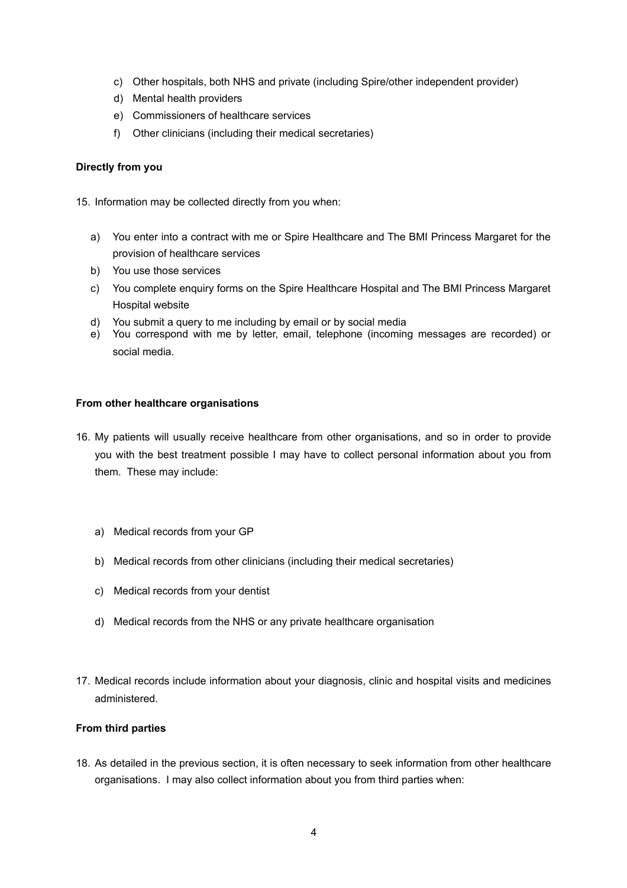- c) Other hospitals, both NHS and private (including Spire/other independent provider)
- d) Mental health providers
- e) Commissioners of healthcare services
- f) Other clinicians (including their medical secretaries)

### **Directly from you**

15. Information may be collected directly from you when:

- a) You enter into a contract with me or Spire Healthcare and The BMI Princess Margaret for the provision of healthcare services
- b) You use those services
- c) You complete enquiry forms on the Spire Healthcare Hospital and The BMI Princess Margaret Hospital website
- d) You submit a query to me including by email or by social media
- e) You correspond with me by letter, email, telephone (incoming messages are recorded) or social media.

#### **From other healthcare organisations**

- 16. My patients will usually receive healthcare from other organisations, and so in order to provide you with the best treatment possible I may have to collect personal information about you from them. These may include:
	- a) Medical records from your GP
	- b) Medical records from other clinicians (including their medical secretaries)
	- c) Medical records from your dentist
	- d) Medical records from the NHS or any private healthcare organisation
- 17. Medical records include information about your diagnosis, clinic and hospital visits and medicines administered.

#### **From third parties**

18. As detailed in the previous section, it is often necessary to seek information from other healthcare organisations. I may also collect information about you from third parties when: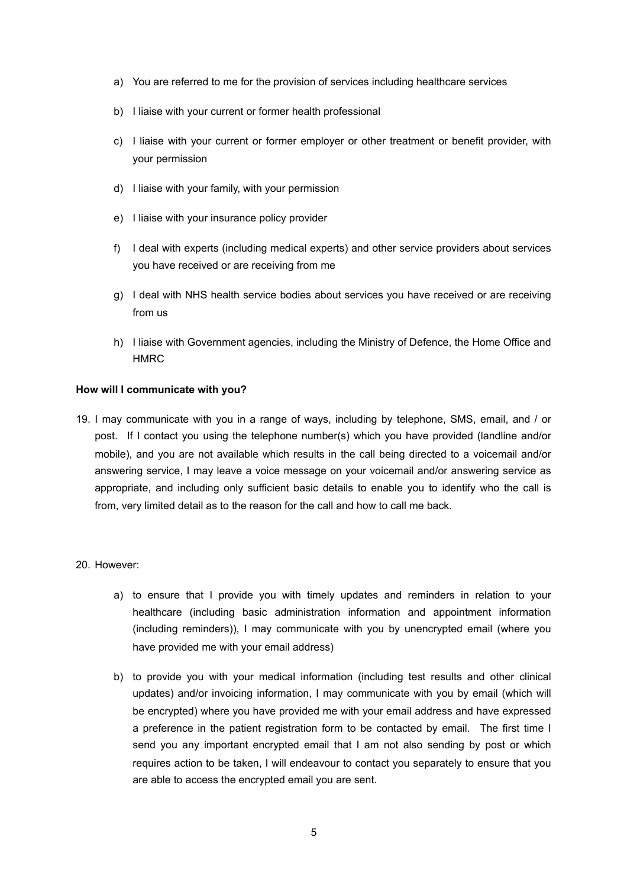- a) You are referred to me for the provision of services including healthcare services
- b) I liaise with your current or former health professional
- c) I liaise with your current or former employer or other treatment or benefit provider, with your permission
- d) I liaise with your family, with your permission
- e) I liaise with your insurance policy provider
- f) I deal with experts (including medical experts) and other service providers about services you have received or are receiving from me
- g) I deal with NHS health service bodies about services you have received or are receiving from us
- h) I liaise with Government agencies, including the Ministry of Defence, the Home Office and HMRC

#### **How will I communicate with you?**

19. I may communicate with you in a range of ways, including by telephone, SMS, email, and / or post. If I contact you using the telephone number(s) which you have provided (landline and/or mobile), and you are not available which results in the call being directed to a voicemail and/or answering service, I may leave a voice message on your voicemail and/or answering service as appropriate, and including only sufficient basic details to enable you to identify who the call is from, very limited detail as to the reason for the call and how to call me back.

#### 20. However:

- a) to ensure that I provide you with timely updates and reminders in relation to your healthcare (including basic administration information and appointment information (including reminders)), I may communicate with you by unencrypted email (where you have provided me with your email address)
- b) to provide you with your medical information (including test results and other clinical updates) and/or invoicing information, I may communicate with you by email (which will be encrypted) where you have provided me with your email address and have expressed a preference in the patient registration form to be contacted by email. The first time I send you any important encrypted email that I am not also sending by post or which requires action to be taken, I will endeavour to contact you separately to ensure that you are able to access the encrypted email you are sent.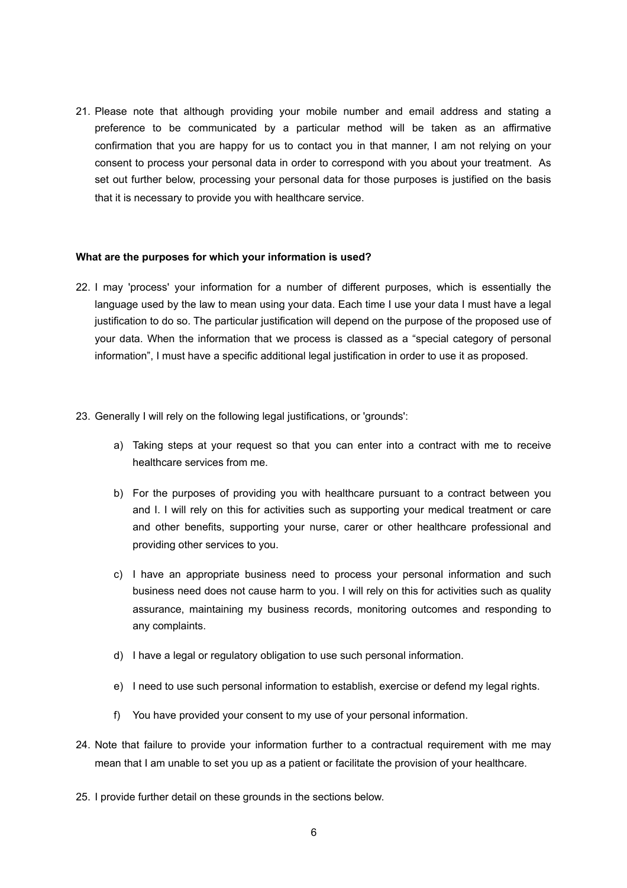21. Please note that although providing your mobile number and email address and stating a preference to be communicated by a particular method will be taken as an affirmative confirmation that you are happy for us to contact you in that manner, I am not relying on your consent to process your personal data in order to correspond with you about your treatment. As set out further below, processing your personal data for those purposes is justified on the basis that it is necessary to provide you with healthcare service.

#### **What are the purposes for which your information is used?**

- 22. I may 'process' your information for a number of different purposes, which is essentially the language used by the law to mean using your data. Each time I use your data I must have a legal justification to do so. The particular justification will depend on the purpose of the proposed use of your data. When the information that we process is classed as a "special category of personal information", I must have a specific additional legal justification in order to use it as proposed.
- 23. Generally I will rely on the following legal justifications, or 'grounds':
	- a) Taking steps at your request so that you can enter into a contract with me to receive healthcare services from me.
	- b) For the purposes of providing you with healthcare pursuant to a contract between you and I. I will rely on this for activities such as supporting your medical treatment or care and other benefits, supporting your nurse, carer or other healthcare professional and providing other services to you.
	- c) I have an appropriate business need to process your personal information and such business need does not cause harm to you. I will rely on this for activities such as quality assurance, maintaining my business records, monitoring outcomes and responding to any complaints.
	- d) I have a legal or regulatory obligation to use such personal information.
	- e) I need to use such personal information to establish, exercise or defend my legal rights.
	- f) You have provided your consent to my use of your personal information.
- 24. Note that failure to provide your information further to a contractual requirement with me may mean that I am unable to set you up as a patient or facilitate the provision of your healthcare.
- 25. I provide further detail on these grounds in the sections below.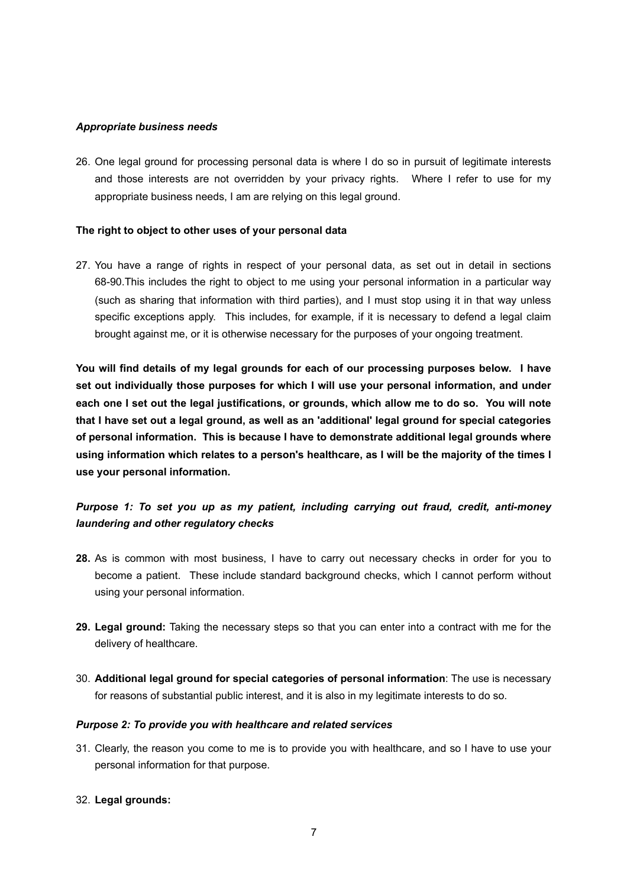#### *Appropriate business needs*

26. One legal ground for processing personal data is where I do so in pursuit of legitimate interests and those interests are not overridden by your privacy rights. Where I refer to use for my appropriate business needs, I am are relying on this legal ground.

#### **The right to object to other uses of your personal data**

27. You have a range of rights in respect of your personal data, as set out in detail in sections 68-90.This includes the right to object to me using your personal information in a particular way (such as sharing that information with third parties), and I must stop using it in that way unless specific exceptions apply. This includes, for example, if it is necessary to defend a legal claim brought against me, or it is otherwise necessary for the purposes of your ongoing treatment.

**You will find details of my legal grounds for each of our processing purposes below. I have set out individually those purposes for which I will use your personal information, and under each one I set out the legal justifications, or grounds, which allow me to do so. You will note that I have set out a legal ground, as well as an 'additional' legal ground for special categories of personal information. This is because I have to demonstrate additional legal grounds where using information which relates to a person's healthcare, as I will be the majority of the times I use your personal information.** 

# *Purpose 1: To set you up as my patient, including carrying out fraud, credit, anti-money laundering and other regulatory checks*

- **28.** As is common with most business, I have to carry out necessary checks in order for you to become a patient. These include standard background checks, which I cannot perform without using your personal information.
- **29. Legal ground:** Taking the necessary steps so that you can enter into a contract with me for the delivery of healthcare.
- 30. **Additional legal ground for special categories of personal information**: The use is necessary for reasons of substantial public interest, and it is also in my legitimate interests to do so.

#### *Purpose 2: To provide you with healthcare and related services*

31. Clearly, the reason you come to me is to provide you with healthcare, and so I have to use your personal information for that purpose.

#### 32. **Legal grounds:**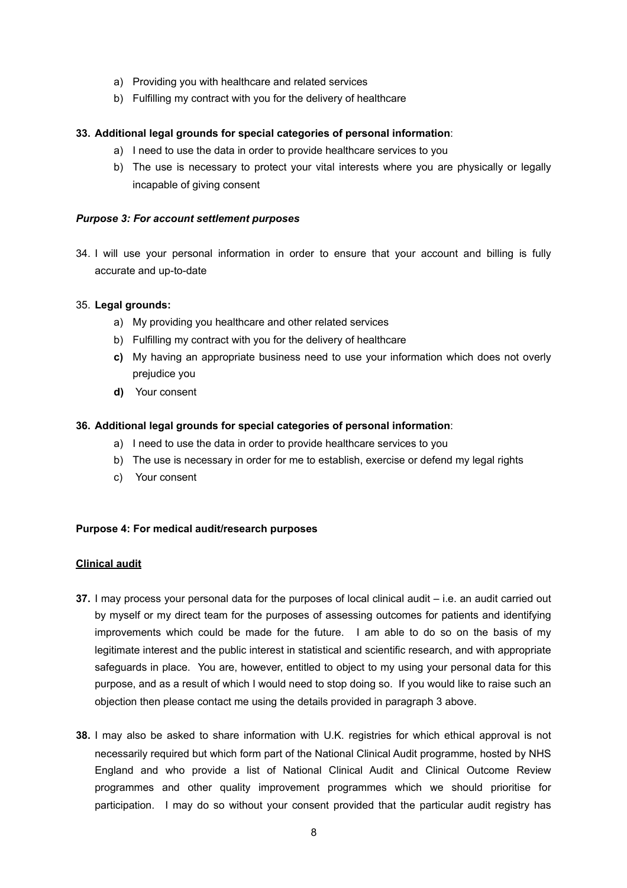- a) Providing you with healthcare and related services
- b) Fulfilling my contract with you for the delivery of healthcare

# **33. Additional legal grounds for special categories of personal information**:

- a) I need to use the data in order to provide healthcare services to you
- b) The use is necessary to protect your vital interests where you are physically or legally incapable of giving consent

# *Purpose 3: For account settlement purposes*

34. I will use your personal information in order to ensure that your account and billing is fully accurate and up-to-date

#### 35. **Legal grounds:**

- a) My providing you healthcare and other related services
- b) Fulfilling my contract with you for the delivery of healthcare
- **c)** My having an appropriate business need to use your information which does not overly prejudice you
- **d)** Your consent

# **36. Additional legal grounds for special categories of personal information**:

- a) I need to use the data in order to provide healthcare services to you
- b) The use is necessary in order for me to establish, exercise or defend my legal rights
- c) Your consent

#### **Purpose 4: For medical audit/research purposes**

#### **Clinical audit**

- **37.** I may process your personal data for the purposes of local clinical audit i.e. an audit carried out by myself or my direct team for the purposes of assessing outcomes for patients and identifying improvements which could be made for the future. I am able to do so on the basis of my legitimate interest and the public interest in statistical and scientific research, and with appropriate safeguards in place. You are, however, entitled to object to my using your personal data for this purpose, and as a result of which I would need to stop doing so. If you would like to raise such an objection then please contact me using the details provided in paragraph 3 above.
- **38.** I may also be asked to share information with U.K. registries for which ethical approval is not necessarily required but which form part of the National Clinical Audit programme, hosted by NHS England and who provide a list of National Clinical Audit and Clinical Outcome Review programmes and other quality improvement programmes which we should prioritise for participation. I may do so without your consent provided that the particular audit registry has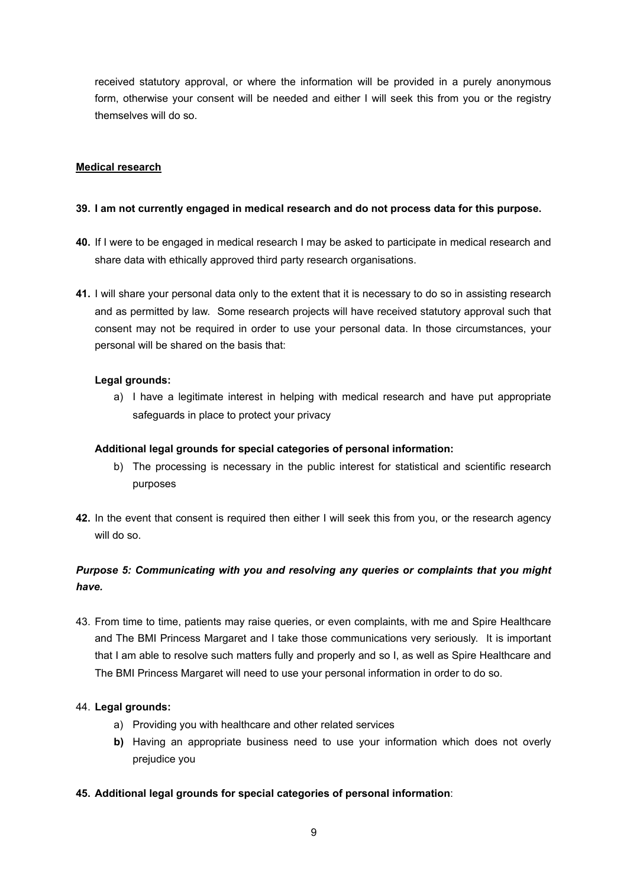received statutory approval, or where the information will be provided in a purely anonymous form, otherwise your consent will be needed and either I will seek this from you or the registry themselves will do so.

# **Medical research**

### **39. I am not currently engaged in medical research and do not process data for this purpose.**

- **40.** If I were to be engaged in medical research I may be asked to participate in medical research and share data with ethically approved third party research organisations.
- **41.** I will share your personal data only to the extent that it is necessary to do so in assisting research and as permitted by law. Some research projects will have received statutory approval such that consent may not be required in order to use your personal data. In those circumstances, your personal will be shared on the basis that:

# **Legal grounds:**

a) I have a legitimate interest in helping with medical research and have put appropriate safeguards in place to protect your privacy

### **Additional legal grounds for special categories of personal information:**

- b) The processing is necessary in the public interest for statistical and scientific research purposes
- **42.** In the event that consent is required then either I will seek this from you, or the research agency will do so.

# *Purpose 5: Communicating with you and resolving any queries or complaints that you might have.*

43. From time to time, patients may raise queries, or even complaints, with me and Spire Healthcare and The BMI Princess Margaret and I take those communications very seriously. It is important that I am able to resolve such matters fully and properly and so I, as well as Spire Healthcare and The BMI Princess Margaret will need to use your personal information in order to do so.

#### 44. **Legal grounds:**

- a) Providing you with healthcare and other related services
- **b)** Having an appropriate business need to use your information which does not overly prejudice you
- **45. Additional legal grounds for special categories of personal information**: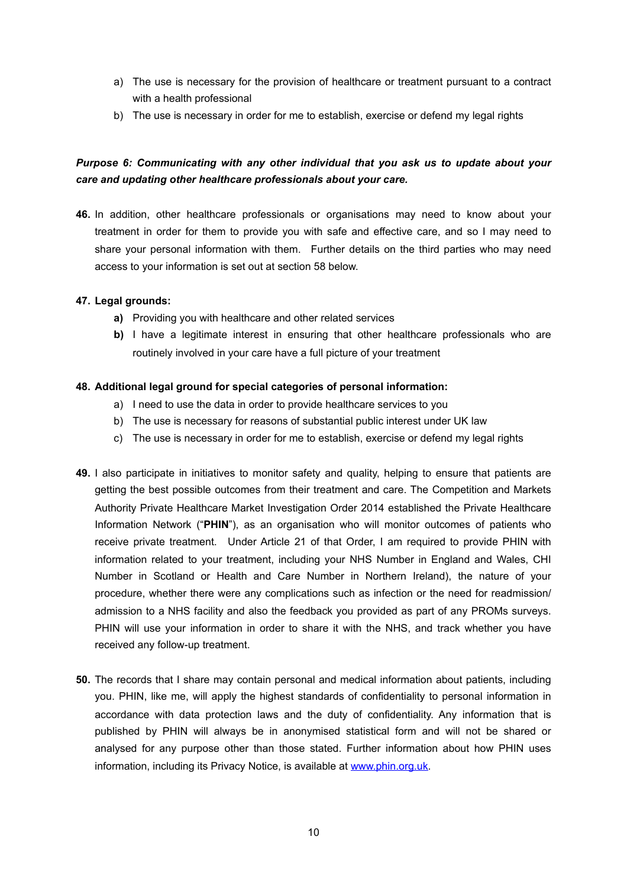- a) The use is necessary for the provision of healthcare or treatment pursuant to a contract with a health professional
- b) The use is necessary in order for me to establish, exercise or defend my legal rights

# *Purpose 6: Communicating with any other individual that you ask us to update about your care and updating other healthcare professionals about your care.*

**46.** In addition, other healthcare professionals or organisations may need to know about your treatment in order for them to provide you with safe and effective care, and so I may need to share your personal information with them. Further details on the third parties who may need access to your information is set out at section 58 below.

# **47. Legal grounds:**

- **a)** Providing you with healthcare and other related services
- **b)** I have a legitimate interest in ensuring that other healthcare professionals who are routinely involved in your care have a full picture of your treatment

# **48. Additional legal ground for special categories of personal information:**

- a) I need to use the data in order to provide healthcare services to you
- b) The use is necessary for reasons of substantial public interest under UK law
- c) The use is necessary in order for me to establish, exercise or defend my legal rights
- **49.** I also participate in initiatives to monitor safety and quality, helping to ensure that patients are getting the best possible outcomes from their treatment and care. The Competition and Markets Authority Private Healthcare Market Investigation Order 2014 established the Private Healthcare Information Network ("**PHIN**"), as an organisation who will monitor outcomes of patients who receive private treatment. Under Article 21 of that Order, I am required to provide PHIN with information related to your treatment, including your NHS Number in England and Wales, CHI Number in Scotland or Health and Care Number in Northern Ireland), the nature of your procedure, whether there were any complications such as infection or the need for readmission/ admission to a NHS facility and also the feedback you provided as part of any PROMs surveys. PHIN will use your information in order to share it with the NHS, and track whether you have received any follow-up treatment.
- **50.** The records that I share may contain personal and medical information about patients, including you. PHIN, like me, will apply the highest standards of confidentiality to personal information in accordance with data protection laws and the duty of confidentiality. Any information that is published by PHIN will always be in anonymised statistical form and will not be shared or analysed for any purpose other than those stated. Further information about how PHIN uses information, including its Privacy Notice, is available at [www.phin.org.uk](http://www.phin.org.uk).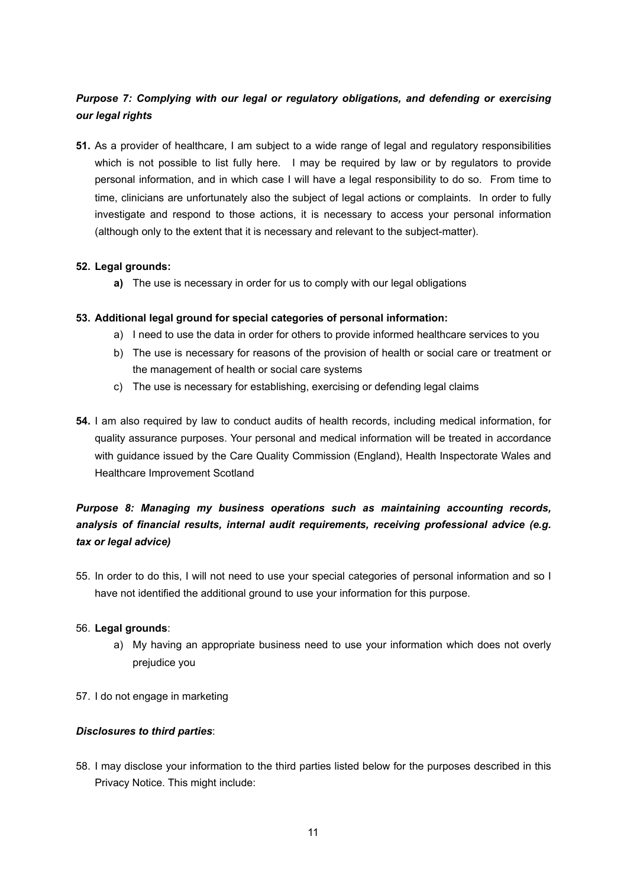# *Purpose 7: Complying with our legal or regulatory obligations, and defending or exercising our legal rights*

**51.** As a provider of healthcare, I am subject to a wide range of legal and regulatory responsibilities which is not possible to list fully here. I may be required by law or by regulators to provide personal information, and in which case I will have a legal responsibility to do so. From time to time, clinicians are unfortunately also the subject of legal actions or complaints. In order to fully investigate and respond to those actions, it is necessary to access your personal information (although only to the extent that it is necessary and relevant to the subject-matter).

# **52. Legal grounds:**

**a)** The use is necessary in order for us to comply with our legal obligations

# **53. Additional legal ground for special categories of personal information:**

- a) I need to use the data in order for others to provide informed healthcare services to you
- b) The use is necessary for reasons of the provision of health or social care or treatment or the management of health or social care systems
- c) The use is necessary for establishing, exercising or defending legal claims
- **54.** I am also required by law to conduct audits of health records, including medical information, for quality assurance purposes. Your personal and medical information will be treated in accordance with guidance issued by the Care Quality Commission (England), Health Inspectorate Wales and Healthcare Improvement Scotland

# *Purpose 8: Managing my business operations such as maintaining accounting records, analysis of financial results, internal audit requirements, receiving professional advice (e.g. tax or legal advice)*

55. In order to do this, I will not need to use your special categories of personal information and so I have not identified the additional ground to use your information for this purpose.

#### 56. **Legal grounds**:

- a) My having an appropriate business need to use your information which does not overly prejudice you
- 57. I do not engage in marketing

# *Disclosures to third parties*:

58. I may disclose your information to the third parties listed below for the purposes described in this Privacy Notice. This might include: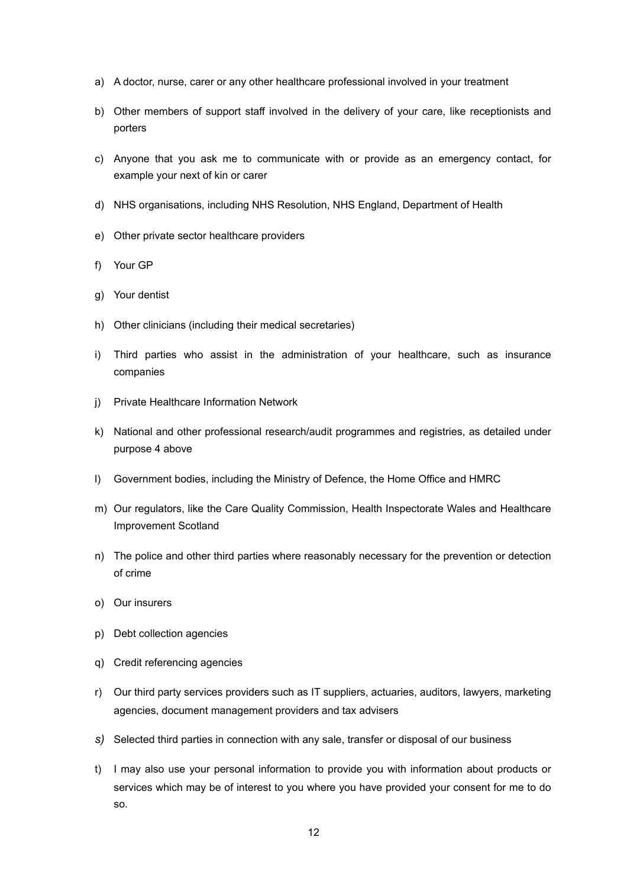- a) A doctor, nurse, carer or any other healthcare professional involved in your treatment
- b) Other members of support staff involved in the delivery of your care, like receptionists and porters
- c) Anyone that you ask me to communicate with or provide as an emergency contact, for example your next of kin or carer
- d) NHS organisations, including NHS Resolution, NHS England, Department of Health
- e) Other private sector healthcare providers
- f) Your GP
- g) Your dentist
- h) Other clinicians (including their medical secretaries)
- i) Third parties who assist in the administration of your healthcare, such as insurance companies
- j) Private Healthcare Information Network
- k) National and other professional research/audit programmes and registries, as detailed under purpose 4 above
- l) Government bodies, including the Ministry of Defence, the Home Office and HMRC
- m) Our regulators, like the Care Quality Commission, Health Inspectorate Wales and Healthcare Improvement Scotland
- n) The police and other third parties where reasonably necessary for the prevention or detection of crime
- o) Our insurers
- p) Debt collection agencies
- q) Credit referencing agencies
- r) Our third party services providers such as IT suppliers, actuaries, auditors, lawyers, marketing agencies, document management providers and tax advisers
- *s)* Selected third parties in connection with any sale, transfer or disposal of our business
- t) I may also use your personal information to provide you with information about products or services which may be of interest to you where you have provided your consent for me to do so.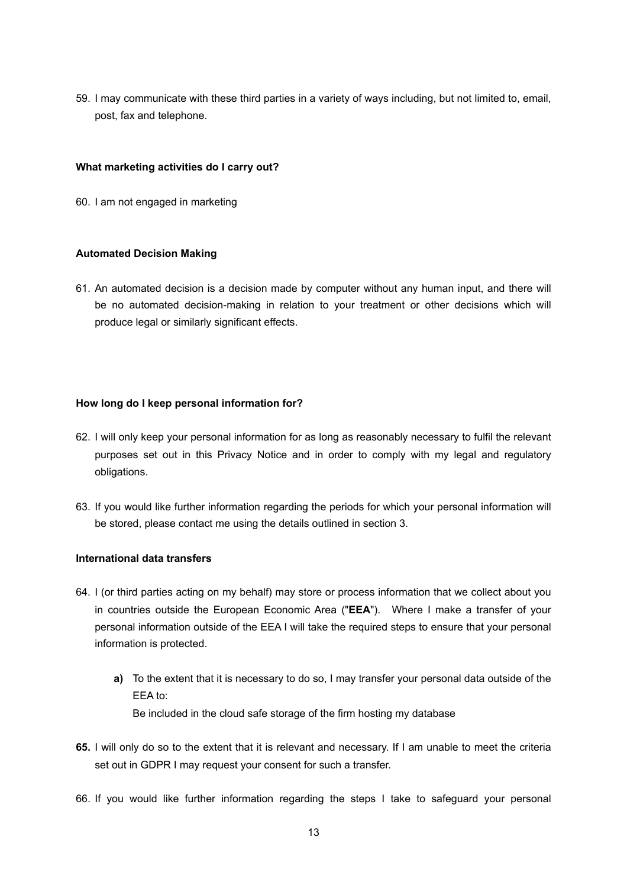59. I may communicate with these third parties in a variety of ways including, but not limited to, email, post, fax and telephone.

#### **What marketing activities do I carry out?**

60. I am not engaged in marketing

#### **Automated Decision Making**

61. An automated decision is a decision made by computer without any human input, and there will be no automated decision-making in relation to your treatment or other decisions which will produce legal or similarly significant effects.

#### **How long do I keep personal information for?**

- 62. I will only keep your personal information for as long as reasonably necessary to fulfil the relevant purposes set out in this Privacy Notice and in order to comply with my legal and regulatory obligations.
- 63. If you would like further information regarding the periods for which your personal information will be stored, please contact me using the details outlined in section 3.

#### **International data transfers**

- 64. I (or third parties acting on my behalf) may store or process information that we collect about you in countries outside the European Economic Area ("**EEA**"). Where I make a transfer of your personal information outside of the EEA I will take the required steps to ensure that your personal information is protected.
	- **a)** To the extent that it is necessary to do so, I may transfer your personal data outside of the EEA to: Be included in the cloud safe storage of the firm hosting my database
- **65.** I will only do so to the extent that it is relevant and necessary. If I am unable to meet the criteria set out in GDPR I may request your consent for such a transfer.
- 66. If you would like further information regarding the steps I take to safeguard your personal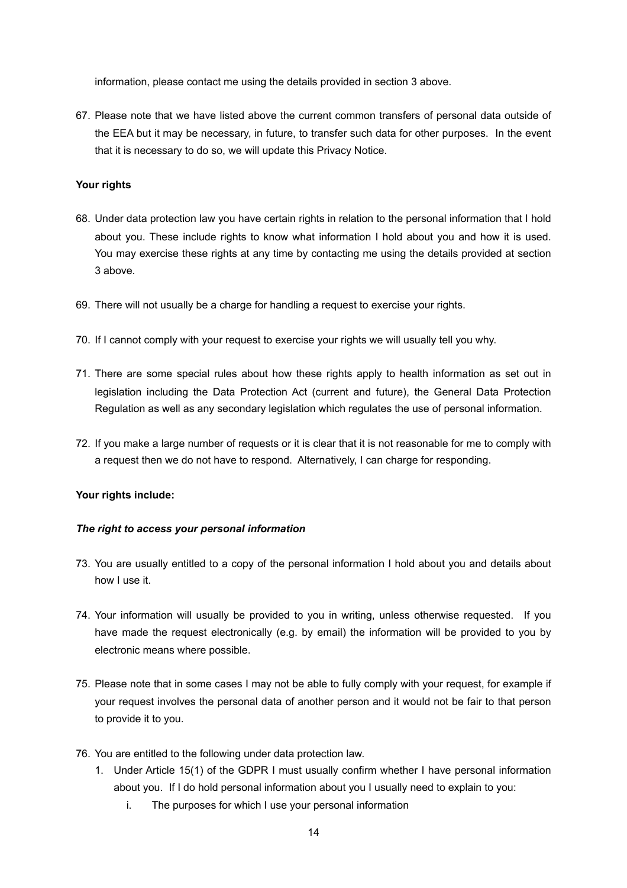information, please contact me using the details provided in section 3 above.

67. Please note that we have listed above the current common transfers of personal data outside of the EEA but it may be necessary, in future, to transfer such data for other purposes. In the event that it is necessary to do so, we will update this Privacy Notice.

# **Your rights**

- 68. Under data protection law you have certain rights in relation to the personal information that I hold about you. These include rights to know what information I hold about you and how it is used. You may exercise these rights at any time by contacting me using the details provided at section 3 above.
- 69. There will not usually be a charge for handling a request to exercise your rights.
- 70. If I cannot comply with your request to exercise your rights we will usually tell you why.
- 71. There are some special rules about how these rights apply to health information as set out in legislation including the Data Protection Act (current and future), the General Data Protection Regulation as well as any secondary legislation which regulates the use of personal information.
- 72. If you make a large number of requests or it is clear that it is not reasonable for me to comply with a request then we do not have to respond. Alternatively, I can charge for responding.

# **Your rights include:**

#### *The right to access your personal information*

- 73. You are usually entitled to a copy of the personal information I hold about you and details about how I use it.
- 74. Your information will usually be provided to you in writing, unless otherwise requested. If you have made the request electronically (e.g. by email) the information will be provided to you by electronic means where possible.
- 75. Please note that in some cases I may not be able to fully comply with your request, for example if your request involves the personal data of another person and it would not be fair to that person to provide it to you.
- 76. You are entitled to the following under data protection law.
	- 1. Under Article 15(1) of the GDPR I must usually confirm whether I have personal information about you. If I do hold personal information about you I usually need to explain to you:
		- i. The purposes for which I use your personal information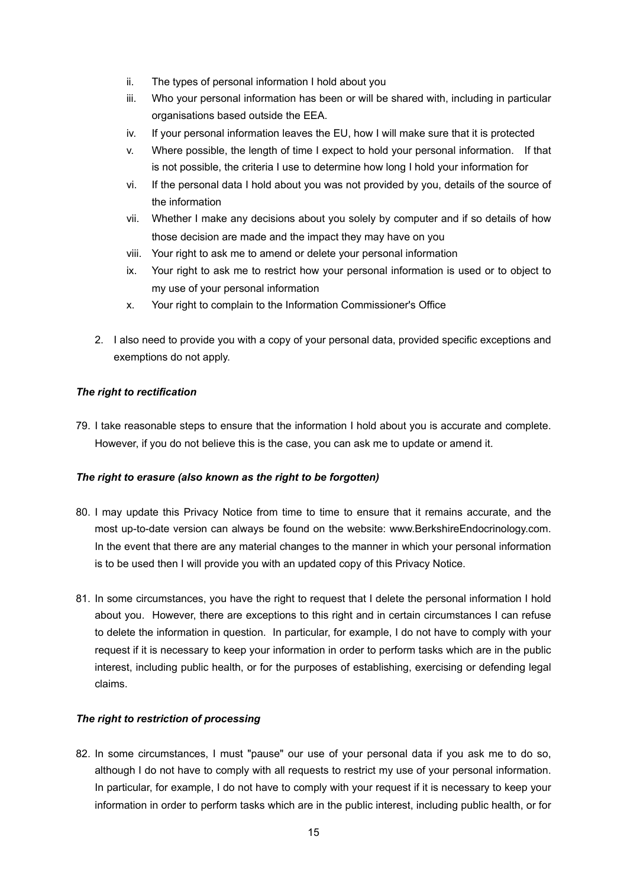- ii. The types of personal information I hold about you
- iii. Who your personal information has been or will be shared with, including in particular organisations based outside the EEA.
- iv. If your personal information leaves the EU, how I will make sure that it is protected
- v. Where possible, the length of time I expect to hold your personal information. If that is not possible, the criteria I use to determine how long I hold your information for
- vi. If the personal data I hold about you was not provided by you, details of the source of the information
- vii. Whether I make any decisions about you solely by computer and if so details of how those decision are made and the impact they may have on you
- viii. Your right to ask me to amend or delete your personal information
- ix. Your right to ask me to restrict how your personal information is used or to object to my use of your personal information
- x. Your right to complain to the Information Commissioner's Office
- 2. I also need to provide you with a copy of your personal data, provided specific exceptions and exemptions do not apply.

# *The right to rectification*

79. I take reasonable steps to ensure that the information I hold about you is accurate and complete. However, if you do not believe this is the case, you can ask me to update or amend it.

#### *The right to erasure (also known as the right to be forgotten)*

- 80. I may update this Privacy Notice from time to time to ensure that it remains accurate, and the most up-to-date version can always be found on the website: www.BerkshireEndocrinology.com. In the event that there are any material changes to the manner in which your personal information is to be used then I will provide you with an updated copy of this Privacy Notice.
- 81. In some circumstances, you have the right to request that I delete the personal information I hold about you. However, there are exceptions to this right and in certain circumstances I can refuse to delete the information in question. In particular, for example, I do not have to comply with your request if it is necessary to keep your information in order to perform tasks which are in the public interest, including public health, or for the purposes of establishing, exercising or defending legal claims.

#### *The right to restriction of processing*

82. In some circumstances, I must "pause" our use of your personal data if you ask me to do so, although I do not have to comply with all requests to restrict my use of your personal information. In particular, for example, I do not have to comply with your request if it is necessary to keep your information in order to perform tasks which are in the public interest, including public health, or for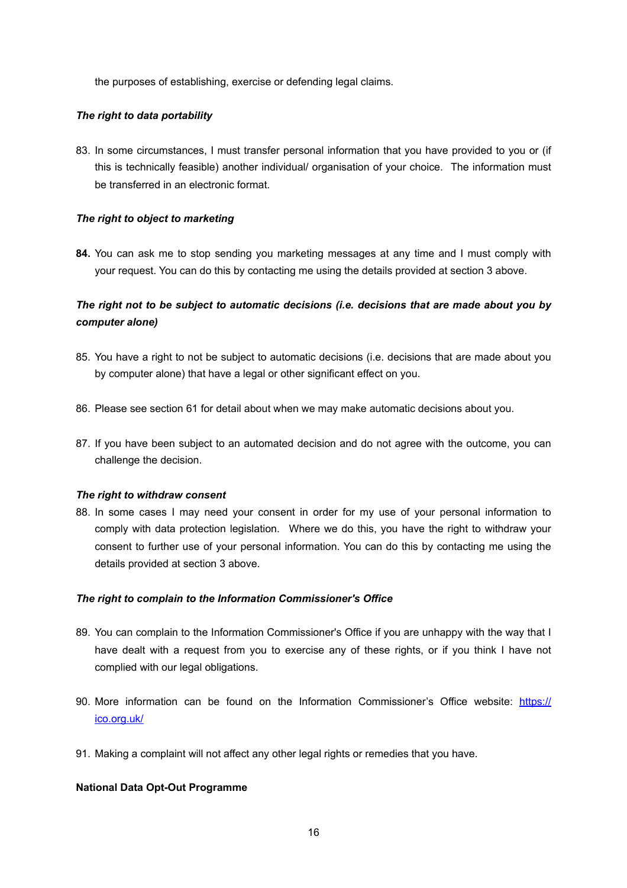the purposes of establishing, exercise or defending legal claims.

# *The right to data portability*

83. In some circumstances, I must transfer personal information that you have provided to you or (if this is technically feasible) another individual/ organisation of your choice. The information must be transferred in an electronic format.

# *The right to object to marketing*

**84.** You can ask me to stop sending you marketing messages at any time and I must comply with your request. You can do this by contacting me using the details provided at section 3 above.

# *The right not to be subject to automatic decisions (i.e. decisions that are made about you by computer alone)*

- 85. You have a right to not be subject to automatic decisions (i.e. decisions that are made about you by computer alone) that have a legal or other significant effect on you.
- 86. Please see section 61 for detail about when we may make automatic decisions about you.
- 87. If you have been subject to an automated decision and do not agree with the outcome, you can challenge the decision.

#### *The right to withdraw consent*

88. In some cases I may need your consent in order for my use of your personal information to comply with data protection legislation. Where we do this, you have the right to withdraw your consent to further use of your personal information. You can do this by contacting me using the details provided at section 3 above.

#### *The right to complain to the Information Commissioner's Office*

- 89. You can complain to the Information Commissioner's Office if you are unhappy with the way that I have dealt with a request from you to exercise any of these rights, or if you think I have not complied with our legal obligations.
- 90. More information can be found on the Information Commissioner's Office website: [https://](https://ico.org.uk/) [ico.org.uk/](https://ico.org.uk/)
- 91. Making a complaint will not affect any other legal rights or remedies that you have.

# **National Data Opt-Out Programme**